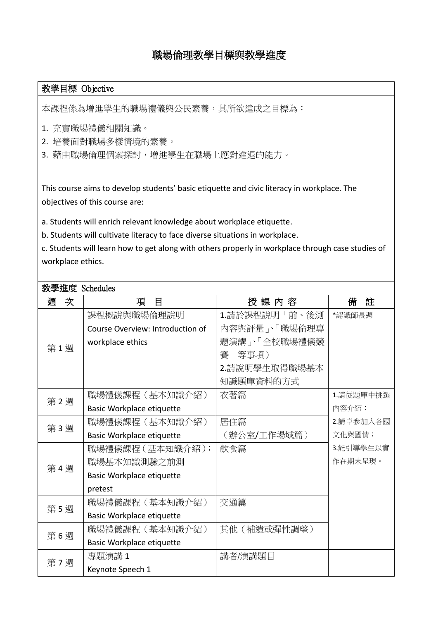## 職場倫理教學目標與教學進度

## 教學目標 Objective

本課程係為增進學生的職場禮儀與公民素養,其所欲達成之目標為:

- 1. 充實職場禮儀相關知識。
- 2. 培養面對職場多樣情境的素養。
- 3. 藉由職場倫理個案探討,增進學生在職場上應對進退的能力。

This course aims to develop students' basic etiquette and civic literacy in workplace. The objectives of this course are:

a. Students will enrich relevant knowledge about workplace etiquette.

b. Students will cultivate literacy to face diverse situations in workplace.

c. Students will learn how to get along with others properly in workplace through case studies of workplace ethics.

## 教學進度 Schedules

| 次<br>週 | 項<br>目                           | 授 課 内 容       | 註<br>備    |
|--------|----------------------------------|---------------|-----------|
| 第1週    | 課程概說與職場倫理說明                      | 1.請於課程說明「前、後測 | *認識師長週    |
|        | Course Overview: Introduction of | 內容與評量」、「職場倫理專 |           |
|        | workplace ethics                 | 題演講」、「全校職場禮儀競 |           |
|        |                                  | 賽 再事項)        |           |
|        |                                  | 2.請說明學生取得職場基本 |           |
|        |                                  | 知識題庫資料的方式     |           |
| 第2週    | 職場禮儀課程(基本知識介紹)                   | 衣著篇           | 1.請從題庫中挑選 |
|        | <b>Basic Workplace etiquette</b> |               | 内容介紹;     |
| 第3週    | 職場禮儀課程(基本知識介紹)                   | 居住篇           | 2.請卓參加入各國 |
|        | Basic Workplace etiquette        | (辦公室/工作場域篇)   | 文化與國情;    |
| 第4週    | 職場禮儀課程(基本知識介紹);                  | 飲食篇           | 3.能引導學生以實 |
|        | 職場基本知識測驗之前測                      |               | 作在期末呈現。   |
|        | Basic Workplace etiquette        |               |           |
|        | pretest                          |               |           |
| 第5週    | 職場禮儀課程(基本知識介紹)                   | 交通篇           |           |
|        | Basic Workplace etiquette        |               |           |
| 第6週    | 職場禮儀課程(基本知識介紹)                   | 其他(補遺或彈性調整)   |           |
|        | Basic Workplace etiquette        |               |           |
| 第7週    | 專題演講1                            | 講者/演講題目       |           |
|        | Keynote Speech 1                 |               |           |